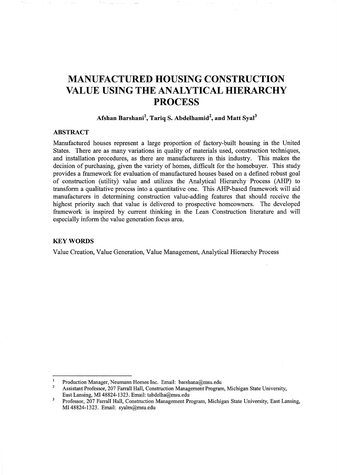# **MANUFACTURED HOUSING CONSTRUCTION VALUE USING THE ANALYTICAL HIERARCHY PROCESS**

# **Afshan Barshani<sup>1</sup> , Tariq S. Abdelhamid<sup>2</sup> , and Matt Syal<sup>3</sup>**

## **ABSTRACT**

Manufactured houses represent a large proportion of factory-built housing in the United States. There are as many variations in quality of materials used, construction techniques, and installation procedures, as there are manufacturers in this industry. This makes the decision of purchasing, given the variety of homes, difficult for the homebuyer. This study provides a framework for evaluation of manufactured houses based on a defined robust goal of construction (utility) value and utilizes the Analytical Hierarchy Process (AHP) to transform a qualitative process into a quantitative one. This AHP-based framework will aid manufacturers in determining construction value-adding features that should receive the highest priority such that value is delivered to prospective homeowners. The developed framework is inspired by current thinking in the Lean Construction literature and will especially inform the value generation focus area.

## **KEYWORDS**

Value Creation, Value Generation, Value Management, Analytical Hierarchy Process

Production Manager, Neumann Homes Inc. Email: barshana@msu.edu

<sup>2</sup>  Assistant Professor, 207 Farrall Hall, Construction Management Program, Michigan State University, East Lansing, MI 48824-1323. Email: tabdelha@msu.edu

 $\overline{\mathbf{3}}$ Professor, 207 Farrall Hall, Construction Management Program, Michigan State University, East Lansing, MI 48824-1323. Email: syalm@msu.edu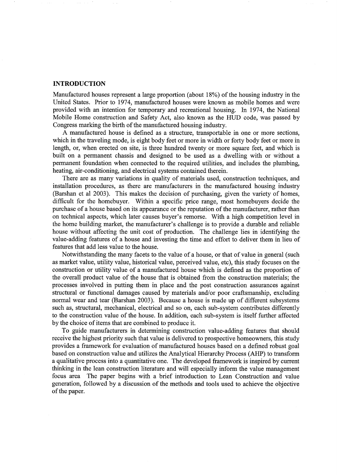## **INTRODUCTION**

Manufactured houses represent a large proportion (about 18%) of the housing industry in the United States. Prior to 1974, manufactured houses were known as mobile homes and were provided with an intention for temporary and recreational housing. In 1974, the National Mobile Home construction and Safety Act, also known as the HUD code, was passed by Congress marking the birth of the manufactured housing industry.

A manufactured house is defined as a structure, transportable in one or more sections, which in the traveling mode, is eight body feet or more in width or forty body feet or more in length, or, when erected on site, is three hundred twenty or more square feet, and which is built on a permanent chassis and designed to be used as a dwelling with or without a permanent foundation when connected to the required utilities, and includes the plumbing, heating, air-conditioning, and electrical systems contained therein.

There are as many variations in quality of materials used, construction techniques, and installation procedures, as there are manufacturers in the manufactured housing industry (Barshan et al 2003). This makes the decision of purchasing, given the variety of homes, difficult for the homebuyer. Within a specific price range, most homebuyers decide the purchase of a house based on its appearance or the reputation of the manufacturer, rather than on technical aspects, which later causes buyer's remorse. With a high competition level in the home building market, the manufacturer's challenge is to provide a durable and reliable house without affecting the unit cost of production. The challenge lies in identifying the value-adding features of a house and investing the time and effort to deliver them in lieu of features that add less value to the house.

Notwithstanding the many facets to the value of a house, or that of value in general (such as market value, utility value, historical value, perceived value, etc), this study focuses on the construction or utility value of a manufactured house which is defined as the proportion of the overall product value of the house that is obtained from the construction materials; the processes involved in putting them in place and the post construction assurances against structural or functional damages caused by materials and/or poor craftsmanship, excluding normal wear and tear (Barshan 2003). Because a house is made up of different subsystems such as, structural, mechanical, electrical and so on, each sub-system contributes differently to the construction value of the house. In addition, each sub-system is itself further affected by the choice of items that are combined to produce it.

To guide manufacturers in determining construction value-adding features that should receive the highest priority such that value is delivered to prospective homeowners, this study provides a framework for evaluation of manufactured houses based on a defined robust goal based on construction value and utilizes the Analytical Hierarchy Process (AHP) to transform a qualitative process into a quantitative one. The developed framework is inspired by current thinking in the lean construction literature and will especially inform the value management focus area The paper begins with a brief introduction to Lean Construction and value generation, followed by a discussion of the methods and tools used to achieve the objective of the paper.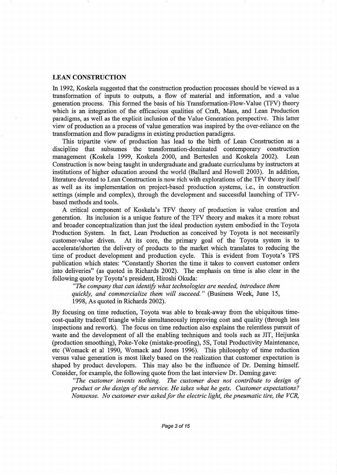## **LEAN CONSTRUCTION**

In 1992, Koskela suggested that the construction production processes should be viewed as a transformation of inputs to outputs, a flow of material and information, and a value generation process. This formed the basis of his Transformation-Flow-Value (TFV) theory which is an integration of the efficacious qualities of Craft, Mass, and Lean Production paradigms, as well as the explicit inclusion of the Value Generation perspective. This latter view of production as a process of value generation was inspired by the over-reliance on the transformation and flow paradigms in existing production paradigms.

This tripartite view of production has lead to the birth of Lean Construction as a discipline that subsumes the transformation-dominated contemporary construction management (Koskela 1999, Koskela 2000, and Berteslen and Koskela 2002). Lean Construction is now being taught in undergraduate and graduate curriculums by instructors at institutions of higher education around the world (Ballard and Howell 2003). In addition, literature devoted to Lean Construction is now rich with explorations of the TFV theory itself as well as its implementation on project-based production systems, i.e., in construction settings (simple and complex), through the development and successful launching of TFVbased methods and tools.

A critical component of Koskela's TFV theory of production is value creation and generation. Its inclusion is a unique feature of the TFV theory and makes it a more robust and broader conceptualization than just the ideal production system embodied in the Toyota Production System. In fact, Lean Production as conceived by Toyota is not necessarily customer-value driven. At its core, the primary goal of the Toyota system is to accelerate/shorten the delivery of products to the market which translates to reducing the time of product development and production cycle. This is evident from Toyota's TPS publication which states: "Constantly Shorten the time it takes to convert customer orders into deliveries" (as quoted in Richards 2002). The emphasis on time is also clear in the following quote by Toyota's president, Hiroshi Okuda:

*"The company that can identify what technologies are needed, introduce them quickly, and commercialize them will succeed."* (Business Week, June 15, 1998, As quoted in Richards 2002).

By focusing on time reduction, Toyota was able to break-away from the ubiquitous timecost-quality tradeoff triangle while simultaneously improving cost and quality (through less inspections and rework). The focus on time reduction also explains the relentless pursuit of waste and the development of all the enabling techniques and tools such as JIT, Heijunka (production smoothing), Poke-Yoke (mistake-proofing), 5S, Total Productivity Maintenance, etc (Womack et al 1990, Womack and Jones 1996). This philosophy of time reduction versus value generation is most likely based on the realization that customer expectation is shaped by product developers. This may also be the influence of Dr. Deming himself. Consider, for example, the following quote from the last interview Dr. Deming gave:

*"The customer invents nothing. The customer does not contribute to design of product or the design of the service. He takes what he gets. Customer expectations? Nonsense. No customer ever asked for the electric light, the pneumatic tire, the VCR,*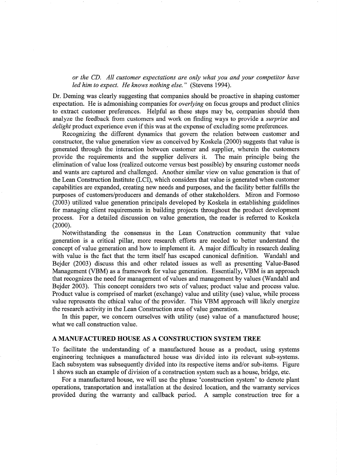*or the CD. All customer expectations are only what you and your competitor have led him to expect. He knows nothing else."* (Stevens 1994).

Dr. Deming was clearly suggesting that companies should be proactive in shaping customer expectation. He is admonishing companies for *overlying* on focus groups and product clinics to extract customer preferences. Helpful as these steps may be, companies should then analyze the feedback from customers and work on finding ways to provide a *surprise* and *delight* product experience even if this was at the expense of excluding some preferences.

Recognizing the different dynamics that govern the relation between customer and constructor, the value generation view as conceived by Koskela (2000) suggests that value is generated through the interaction between customer and supplier, wherein the customers provide the requirements and the supplier delivers it. The main principle being the elimination of value loss (realized outcome versus best possible) by ensuring customer needs and wants are captured and challenged. Another similar view on value generation is that of the Lean Construction Institute (LCI), which considers that value is generated when customer capabilities are expanded, creating new needs and purposes, and the facility better fulfills the purposes of customers/producers and demands of other stakeholders. Miron and Formoso (2003) utilized value generation principals developed by Koskela in establishing guidelines for managing client requirements in building projects throughout the product development process. For a detailed discussion on value generation, the reader is referred to Koskela (2000).

Notwithstanding the consensus in the Lean Construction community that value generation is a critical pillar, more research efforts are needed to better understand the concept of value generation and how to implement it. A major difficulty in research dealing with value is the fact that the term itself has escaped canonical definition. Wandahl and Bejder (2003) discuss this and other related issues as well as presenting Value-Based Management (VBM) as a framework for value generation. Essentially, VBM is an approach that recognizes the need for management of values and management by values (Wandahl and Bejder 2003). This concept considers two sets of values; product value and process value. Product value is comprised of market (exchange) value and utility (use) value, while process value represents the ethical value of the provider. This VBM approach will likely energize the research activity in the Lean Construction area of value generation.

In this paper, we concern ourselves with utility (use) value of a manufactured house; what we call construction value.

## **A MANUFACTURED HOUSE** AS A **CONSTRUCTION SYSTEM TREE**

To facilitate the understanding of a manufactured house as a product, using systems engineering techniques a manufactured house was divided into its relevant sub-systems. Each subsystem was subsequently divided into its respective items and/or sub-items. Figure 1 shows such an example of division of a construction system such as a house, bridge, etc.

For a manufactured house, we will use the phrase 'construction system' to denote plant operations, transportation and installation at the desired location, and the warranty services provided during the warranty and callback period. A sample construction tree for a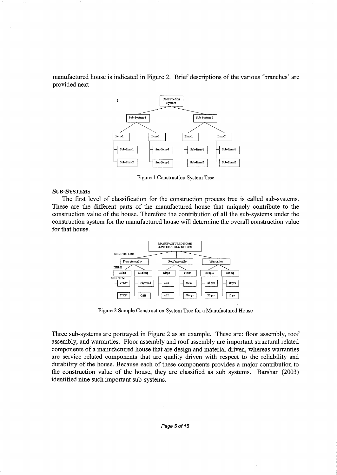manufactured house is indicated in Figure 2. Brief descriptions of the various 'branches' are provided next



Figure 1 Construction System Tree

#### SUB-SYSTEMS

The first level of classification for the construction process tree is called sub-systems. These are the different parts of the manufactured house that uniquely contribute to the construction value of the house. Therefore the contribution of all the sub-systems under the construction system for the manufactured house will determine the overall construction value for that house.



Figure 2 Sample Construction System Tree for a Manufactured House

Three sub-systems are portrayed in Figure 2 as an example. These are: floor assembly, roof assembly, and warranties. Floor assembly and roof assembly are important structural related components of a manufactured house that are design and material driven, whereas warranties are service related components that are quality driven with respect to the reliability and durability of the house. Because each of these components provides a major contribution to the construction value of the house, they are classified as sub systems. Barshan (2003) identified nine such important sub-systems.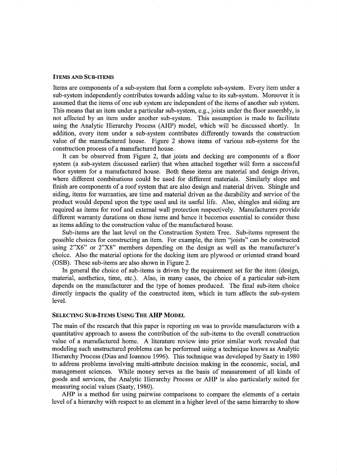#### ITEMS AND SUB-ITEMS

Items are components of a sub-system that form a complete sub-system. Every item under a sub-system independently contributes towards adding value to its sub-system. Moreover it is assumed that the items of one sub system are independent of the items of another sub system. This means that an item under a particular sub-system, e.g., joists under the floor assembly, is not affected by an item under another sub-system. This assumption is made to facilitate using the Analytic Hierarchy Process (AHP) model, which will be discussed shortly. In addition, every item under a sub-system contributes differently towards the construction value of the manufactured house. Figure 2 shows items of various sub-systems for the construction process of a manufactured house.

It can be observed from Figure 2, that joists and decking are components of a floor system (a sub-system discussed earlier) that when attached together will form a successful floor system for a manufactured house. Both these items are material and design driven, where different combinations could be used for different materials. Similarly slope and finish are components of a roof system that are also design and material driven. Shingle and siding, items for warranties, are time and material driven as the durability and service of the product would depend upon the type used and its useful life. Also, shingles and siding are required as items for roof and external wall protection respectively. Manufacturers provide different warranty durations on these items and hence it becomes essential to consider these as items adding to the construction value of the manufactured house.

Sub-items are the last level on the Construction System Tree. Sub-items represent the possible choices for constructing an item. For example, the item "joists" can be constructed using 2"X6" or 2"X8" members depending on the design as well as the manufacturer's choice. Also the material options for the decking item are plywood or oriented strand board (OSB). These sub-items are also shown in Figure 2.

In general the choice of sub-items is driven by the requirement set for the item (design, material, aesthetics, time, etc.). Also, in many cases, the choice of a particular sub-item depends on the manufacturer and the type of homes produced. The final sub-item choice directly impacts the quality of the constructed item, which in tum affects the sub-system level.

## SELECTING SUB-ITEMS USING THE AHP MODEL

The main of the research that this paper is reporting on was to provide manufacturers with a quantitative approach to assess the contribution of the sub-items to the overall construction value of a manufactured home. A literature review into prior similar work revealed that modeling such unstructured problems can be performed using a technique knows as Analytic Hierarchy Process (Dias and Ioannou 1996). This technique was developed by Saaty in 1980 to address problems involving multi-attribute decision making in the economic, social, and management sciences. While money serves as the basis of measurement of all kinds of goods and services, the Analytic Hierarchy Process or AHP is also particularly suited for measuring social values (Saaty, 1980).

AHP is a method for using pairwise comparisons to compare the elements of a certain level of a hierarchy with respect to an element in a higher level of the same hierarchy to show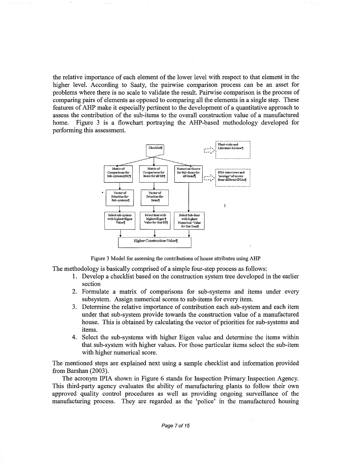the relative importance of each element of the lower level with respect to that element in the higher level. According to Saaty, the pairwise comparison process can be an asset for problems where there is no scale to validate the result. Pairwise comparison is the process of comparing pairs of elements as opposed to comparing all the elements in a single step. These features of AHP make it especially pertinent to the development of a quantitative approach to assess the contribution of the sub-items to the overall construction value of a manufactured home. Figure 3 is a flowchart portraying the AHP-based methodology developed for performing this assessment.



Figure 3 Model for assessing the contributions of house attributes using AHP

The methodology is basically comprised of a simple four-step process as follows:

- 1. Develop a checklist based on the construction system tree developed in the earlier section
- 2. Formulate a matrix of comparisons for sub-systems and items under every subsystem. Assign numerical scores to sub-items for every item.
- 3. Determine the relative importance of contribution each sub-system and each item under that sub-system provide towards the construction value of a manufactured house. This is obtained by calculating the vector of priorities for sub-systems and items.
- 4. Select the sub-systems with higher Eigen value and determine the items within that sub-system with higher values. For those particular items select the sub-item with higher numerical score.

The mentioned steps are explained next using a sample checklist and information provided from Barshan (2003).

The acronym IPIA shown in Figure 6 stands for Inspection Primary Inspection Agency. This third-party agency evaluates the ability of manufacturing plants to follow their own approved quality control procedures as well as providing ongoing surveillance of the manufacturing process. They are regarded as the 'police' in the manufactured housing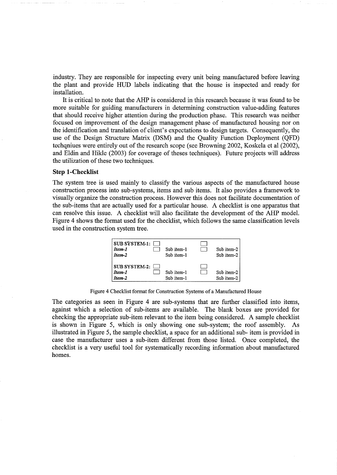industry. They are responsible for inspecting every unit being manufactured before leaving the plant and provide HUD labels indicating that the house is inspected and ready for installation.

It is critical to note that the AHP is considered in this research because it was found to be more suitable for guiding manufacturers in determining construction value-adding features that should receive higher attention during the production phase. This research was neither focused on improvement of the design management phase of manufactured housing nor on the identification and translation of client's expectations to design targets. Consequently, the use of the Design Structure Matrix (DSM) and the Quality Function Deployment (QFD) techqniues were entirely out of the research scope (see Browning 2002, Koskela et al (2002), and Eldin and Hikle (2003) for coverage of theses techniques). Future projects will address the utilization of these two techniques.

#### **Step 1-Checklist**

The system tree is used mainly to classify the various aspects of the manufactured house construction process into sub-systems, items and sub items. It also provides a framework to visually organize the construction process. However this does not facilitate documentation of the sub-items that are actually used for a particular house. A checklist is one apparatus that can resolve this issue. A checklist will also facilitate the development of the AHP model. Figure 4 shows the format used for the checklist, which follows the same classification levels used in the construction system tree.



Figure 4 Checklist format for Construction Systems of a Manufactured House

The categories as seen in Figure 4 are sub-systems that are further classified into items, against which a selection of sub-items are available. The blank boxes are provided for checking the appropriate sub-item relevant to the item being considered. A sample checklist is shown in Figure 5, which is only showing one sub-system; the roof assembly. illustrated in Figure 5, the sample checklist, a space for an additional sub- item is provided in case the manufacturer uses a sub-item different from those listed. Once completed, the checklist is a very useful tool for systematically recording information about manufactured homes.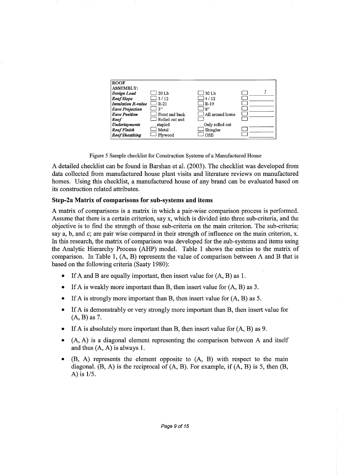| <b>ROOF</b>               |                |                        |  |
|---------------------------|----------------|------------------------|--|
| <b>ASSEMBLY:</b>          |                |                        |  |
| Design Load               | $20$ Lb        | $\Box$ 30 Lb           |  |
| Roof Slope                | 3/12           | $\Box$ 4/12            |  |
| <b>Insulation R-value</b> | J R-21         | $R-19$                 |  |
| <b>Eave Projection</b>    | 3"             | 8"                     |  |
| <b>Eave Position</b>      | Front and back | $\Box$ All around home |  |
| Roof                      | Rolled out and |                        |  |
| <b>Underlayments</b>      | stapled        | Only rolled out        |  |
| <b>Roof Finish</b>        | Metal          | Shingles               |  |
| <b>Roof Sheathing</b>     | Plywood        | OSB                    |  |

Figure 5 Sample checklist for Construction Systems of a Manufactured House

A detailed checklist can be found in Barshan et al. (2003). The checklist was developed from data collected from manufactured house plant visits and literature reviews on manufactured homes. Using this checklist, a manufactured house of any brand can be evaluated based on its construction related attributes.

## **Step-2a Matrix of comparisons for sub-systems and items**

A matrix of comparisons is a matrix in which a pair-wise comparison process is performed. Assume that there is a certain criterion, say x, which is divided into three sub-criteria, and the objective is to find the strength of those sub-criteria on the main criterion. The sub-criteria; say a, b, and c; are pair wise compared in their strength of influence on the main criterion, x. In this research, the matrix of comparison was developed for the sub-systems and items using the Analytic Hierarchy Process (AHP) model. Table **1** shows the entries to the matrix of comparison. In Table 1, (A, B) represents the value of comparison between A and B that is based on the following criteria (Saaty 1980):

- If A and B are equally important, then insert value for  $(A, B)$  as 1.
- If A is weakly more important than B, then insert value for  $(A, B)$  as 3.
- If A is strongly more important than B, then insert value for  $(A, B)$  as 5.
- If A is demonstrably or very strongly more important than B, then insert value for (A, B) as 7.
- If A is absolutely more important than **B,** then insert value for (A, B) as 9.
- (A, A) is a diagonal element representing the comparison between A and itself and thus (A, A) is always 1.
- **(B,** A) represents the element opposite to (A, B) with respect to the main diagonal.  $(B, A)$  is the reciprocal of  $(A, B)$ . For example, if  $(A, B)$  is 5, then  $(B, A)$ A) is 1/5.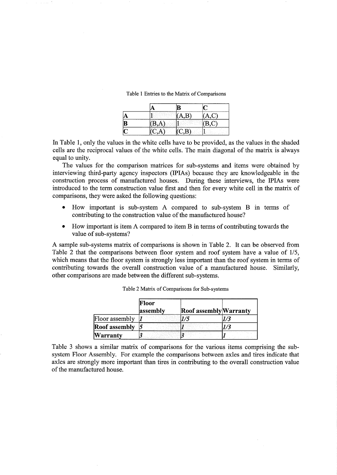| $-$<br>ik Pappers)<br><b>1979</b><br>×<br>. .<br>w<br>$\sim$<br>×<br>٠<br>n.<br><b>COL</b><br>m<br><b>ALC</b><br>.<br>1.111<br>$\sim$<br>×.<br>$\sim$ $\sim$<br>A.<br>$\sim$ | <b>A</b> 19                                                                                                   |                                                           |
|------------------------------------------------------------------------------------------------------------------------------------------------------------------------------|---------------------------------------------------------------------------------------------------------------|-----------------------------------------------------------|
| <br><br>.                                                                                                                                                                    | .<br>٠<br>$\sim$<br>и.<br>$\sim$<br>1.111<br>œ.<br>A.<br>٠<br>×<br>$\sim$<br>- 2<br>.<br>. .<br>$\sim$ $\sim$ | <br>.<br>. .<br>All All Card<br>122<br>.<br>.<br>×.<br>×. |
| <br>-7<br>Service County<br>999<br>$\sim$                                                                                                                                    |                                                                                                               | ╌<br><b>ALC</b><br>$\sim$                                 |

Table 1 Entries to the Matrix of Comparisons

In Table 1, only the values in the white cells have to be provided, as the values in the shaded cells are the reciprocal values of the white cells. The main diagonal of the matrix is always equal to unity.

The values for the comparison matrices for sub-systems and items were obtained by interviewing third-party agency inspectors (IPIAs) because they are knowledgeable in the construction process of manufactured houses. During these interviews, the IPIAs were introduced to the term construction value first and then for every white cell in the matrix of comparisons, they were asked the following questions:

- How important is sub-system A compared to sub-system B in terms of contributing to the construction value of the manufactured house?
- How important is item A compared to item B in terms of contributing towards the value of sub-systems?

A sample sub-systems matrix of comparisons is shown in Table 2. It can be observed from Table 2 that the comparisons between floor system and roof system have a value of 1/5, which means that the floor system is strongly less important than the roof system in terms of contributing towards the overall construction value of a manufactured house. Similarly, other comparisons are made between the different sub-systems.

|                      | Floor<br>assembly | Roof assembly Warranty |  |
|----------------------|-------------------|------------------------|--|
| Floor assembly       |                   |                        |  |
| <b>Roof assembly</b> |                   |                        |  |
| Warrantv             |                   |                        |  |

Table 2 Matrix of Comparisons for Sub-systems

Table 3 shows a similar matrix of comparisons for the various items comprising the subsystem Floor Assembly. For example the comparisons between axles and tires indicate that axles are strongly more important than tires in contributing to the overall construction value of the manufactured house.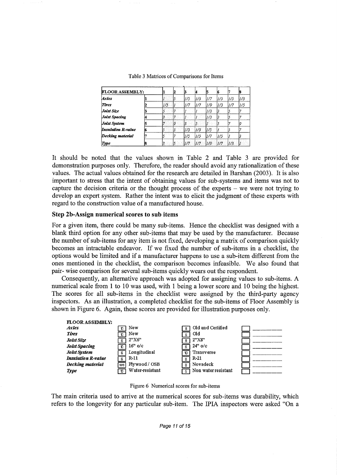| <b>FLOOR ASSEMBLY:</b>    |     | 2 |      |     |      |     |     | И    |
|---------------------------|-----|---|------|-----|------|-----|-----|------|
| <b>Axles</b>              |     |   | 11/5 | 1/3 | 11/7 | 1/5 | 1/5 | l1/3 |
| <b>Tires</b>              | 1/5 |   | 1/7  | 1/7 | 1/9  | 1/3 | 1/7 | 1/5  |
| Joist Size                |     |   |      |     | 1/3  | 13  |     |      |
| Joist Spacing             |     |   |      |     | 1/3  |     |     |      |
| Joist System              |     | 0 |      |     |      |     |     |      |
| <b>Insulation R-value</b> |     | 3 | 1/3  | 1/3 | 1/5  |     |     |      |
| Decking material          |     |   | 1/5  | 1/5 | 1/7  | 1/5 |     |      |
| Type                      |     |   | 1/7  | 1/7 | 1/9  | 1/7 | 1/3 |      |

Table 3 Matrices of Comparisons for Items

It should be noted that the values shown in Table 2 and Table 3 are provided for demonstration purposes only. Therefore, the reader should avoid any rationalization of these values. The actual values obtained for the research are detailed in Barshan (2003). It is also important to stress that the intent of obtaining values for sub-systems and items was not to capture the decision criteria or the thought process of the experts  $-$  we were not trying to develop an expert system. Rather the intent was to elicit the judgment of these experts with regard to the construction value of a manufactured house.

## Step 2b-Assign numerical scores to sub items

For a given item, there could be many sub-items. Hence the checklist was designed with a blank third option for any other sub-items that may be used by the manufacturer. Because the number of sub-items for any item is not fixed, developing a matrix of comparison quickly becomes an intractable endeavor. If we fixed the number of sub-items in a checklist, the options would be limited and if a manufacturer happens to use a sub-item different from the ones mentioned in the checklist, the comparison becomes infeasible. We also found that pair- wise comparison for several sub-items quickly wears out the respondent.

Consequently, an alternative approach was adopted for assigning values to sub-items. A numerical scale from 1 to 10 was used, with 1 being a lower score and 10 being the highest. The scores for all sub-items in the checklist were assigned by the third-party agency inspectors. As an illustration, a completed checklist for the sub-items of Floor Assembly is shown in Figure 6. Again, these scores are provided for illustration purposes only.



Figure 6 Numerical scores for sub-items

The main criteria used to arrive at the numerical scores for sub-items was durability, which refers to the longevity for any particular sub-item. The IPIA inspectors were asked "On a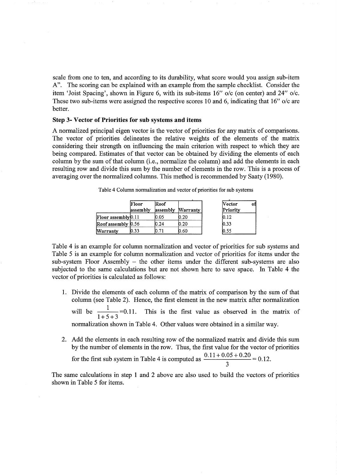scale from one to ten, and according to its durability, what score would you assign sub-item A". The scoring can be explained with an example from the sample checklist. Consider the item 'Joist Spacing', shown in Figure 6, with its sub-items 16" o/c (on center) and 24" *ole.*  These two sub-items were assigned the respective scores 10 and 6, indicating that 16" o/c are better.

#### Step 3- Vector of Priorities for sub systems and items

A normalized principal eigen vector is the vector of priorities for any matrix of comparisons. The vector of priorities delineates the relative weights of the elements of the matrix considering their strength on influencing the main criterion with respect to which they are being compared. Estimates of that vector can be obtained by dividing the elements of each column by the sum of that column (i.e., normalize the column) and add the elements in each resulting row and divide this sum by the number of elements in the row. This is a process of averaging over the normalized columns. This method is recommended by Saaty (1980).

|                       | Floor<br>assembly | Roof<br>assembly | Warranty | <b>Vector</b><br>оĦ<br>Priority |
|-----------------------|-------------------|------------------|----------|---------------------------------|
| [Floor assembly] 0.11 |                   | 0.05             | 0.20     | IO.12                           |
| Roof assembly 0.56    |                   | .24              | 0.20     | 0.33                            |
| Warranty              | 0.33              | .71              | 0.60     | 0.55                            |

Table 4 Column normalization and vector of priorities for sub systems

Table 4 is an example for column normalization and vector of priorities for sub systems and Table 5 is an example for column normalization and vector of priorities for items under the sub-system Floor Assembly - the other items under the different sub-systems are also subjected to the same calculations but are not shown here to save space. In Table 4 the vector of priorities is calculated as follows:

- 1. Divide the elements of each column of the matrix of comparison by the sum of that column (see Table 2). Hence, the first element in the new matrix after normalization will be  $\frac{1}{1.5 \times 2} = 0.11$ .  $1+5+3$ This is the first value as observed in the matrix of normalization shown in Table 4. Other values were obtained in a similar way.
- 2. Add the elements in each resulting row of the normalized matrix and divide this sum by the number of elements in the row. Thus, the first value for the vector of priorities for the first sub system in Table 4 is computed as  $\frac{0.11+0.05+0.20}{2}$  = 0.12.

3

The same calculations in step 1 and 2 above are also used to build the vectors of priorities shown in Table 5 for items.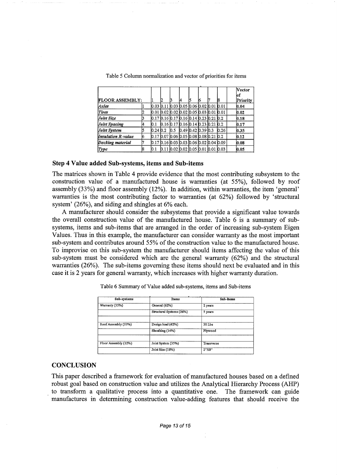|                        |   |                                                 |    |     |    |                                                   |    |      | <b>Vector</b><br>lof |
|------------------------|---|-------------------------------------------------|----|-----|----|---------------------------------------------------|----|------|----------------------|
| <b>FLOOR ASSEMBLY:</b> |   |                                                 | 12 |     | 14 |                                                   | 16 | 18   | Priority             |
| Axles                  |   |                                                 |    |     |    | 0.03  0.11  0.03  0.05  0.06  0.02  0.01  0.01    |    |      | 0.04                 |
| <b>Tires</b>           |   | l0.01 l0.02 l0.02 l0.02 l0.05 l0.03 l0.01 l0.01 |    |     |    |                                                   |    |      | 0.02                 |
| Joist Size             |   | $[0.17]0.16]0.17]0.16]0.14]0.23]0.21]0.2$       |    |     |    |                                                   |    |      | 0.18                 |
| Joist Spacing          |   | 0.1                                             |    |     |    | $[0.16]$ 0.17 $[0.16]$ 0.14 $[0.23]$ 0.21 $[0.2]$ |    |      | 0.17                 |
| Joist System           |   | 0.2410.2                                        |    | 0.5 |    | $0.49$ 0.42 0.39 0.3                              |    | 0.26 | 0.35                 |
| Insulation R-value     |   | 0.17  0.07  0.06  0.05  0.08  0.08  0.21  0.2   |    |     |    |                                                   |    |      | 0.12                 |
| Decking material       |   | 10.17 10.16 10.03 10.03 10.06 10.02 10.04 10.09 |    |     |    |                                                   |    |      | 0.08                 |
| Type                   | R | 10.1                                            |    |     |    | 10.11 10.02 10.02 10.05 10.01 10.01 10.03         |    |      | 0.05                 |

Table 5 Column normalization and vector of priorities for items

#### **Step 4 Value added Sub-systems, items and Sub-items**

The matrices shown in Table 4 provide evidence that the most contributing subsystem to the construction value of a manufactured house is warranties (at 55%), followed by roof assembly (33%) and floor assembly (12%). In addition, within warranties, the item 'general' warranties is the most contributing factor to warranties (at 62%) followed by 'structural system' (26%), and siding and shingles at 6% each.

A manufacturer should consider the subsystems that provide a significant value towards the overall construction value of the manufactured house. Table 6 is a summary of subsystems, items and sub-items that are arranged in the order of increasing sub-system Eigen Values. Thus in this example, the manufacturer can consider warranty as the most important sub-system and contributes around 55% of the construction value to the manufactured house. To improvise on this sub-system the manufacturer should items affecting the value of this sub-system must be considered which are the general warranty (62%) and the structural warranties (26%). The sub-items governing these items should next be evaluated and in this case it is 2 years for general warranty, which increases with higher warranty duration.

| Sub-systems          | <b>Items</b>             | Sub-items  |
|----------------------|--------------------------|------------|
| Warranty (55%)       | General (62%)            | 2 years    |
|                      | Structural Systems (26%) | 5 years    |
| Roof Assembly (33%)  | Design load (42%)        | $30$ Lbs   |
|                      | Sheathing (14%)          | Plywood    |
| Floor Assembly (12%) | Joist System (35%)       | Transverse |
|                      | Joist Size (18%)         | 2"X8"      |

Table 6 Summary of Value added sub-systems, items and Sub-items

#### **CONCLUSION**

This paper described a framework for evaluation of manufactured houses based on a defined robust goal based on construction value and utilizes the Analytical Hierarchy Process (AHP) to transform a qualitative process into a quantitative one. The framework can guide manufactures in determining construction value-adding features that should receive the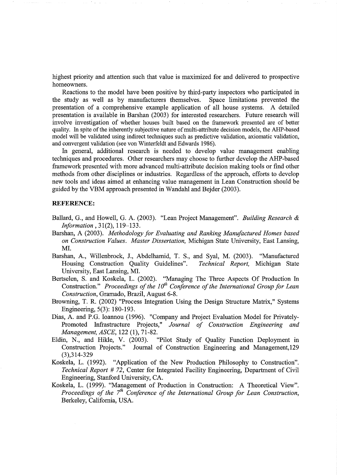highest priority and attention such that value is maximized for and delivered to prospective homeowners.

Reactions to the model have been positive by third-party inspectors who participated in the study as well as by manufacturers themselves. Space limitations prevented the presentation of a comprehensive example application of all house systems. A detailed presentation is available in Barshan (2003) for interested researchers. Future research will involve investigation of whether houses built based on the framework presented are of better quality. fu spite of the inherently subjective nature of multi-attribute decision models, the AHP-based model will be validated using indirect techniques such as predictive validation, axiomatic validation, and convergent validation (see von Winterfeldt and Edwards 1986).

In general, additional research is needed to develop value management enabling techniques and procedures. Other researchers may choose to further develop the AHP-based framework presented with more advanced multi-attribute decision making tools or find other methods from other disciplines or industries. Regardless of the approach, efforts to develop new tools and ideas aimed at enhancing value management in Lean Construction should be guided by the VBM approach presented in Wandahl and Bejder (2003).

#### **REFERENCE:**

- Ballard, G., and Howell, G. A. (2003). "Lean Project Management". *Building Research* & *Information,* 31(2), 119-133.
- Barshan, A (2003). *Methodology for Evaluating and Ranking Manufactured Homes based on Construction Values. Master Dissertation,* Michigan State University, East Lansing, MI.
- Barshan, A., Willenbrock, J., Abdelhamid, T. S., and Syal, M. (2003). "Manufactured Housing Construction Quality Guidelines". *Technical Report,* Michigan State University, East Lansing, MI.
- Bertselen, S. and Koskela, L. (2002). "Managing The Three Aspects Of Production In Construction." *Proceedings of the 10<sup>th</sup> Conference of the International Group for Lean Construction,* Gramado, Brazil, August 6-8.
- Browning, T. R. (2002) "Process Integration Using the Design Structure Matrix," Systems Engineering, 5(3): 180-193.
- Dias, A. and P.G. Ioannou (1996). "Company and Project Evaluation Model for Privately-Promoted fufrastructure Projects," *Journal of Construction Engineering and Management, ASCE, 122 (1), 71-82.*<br>Eldin, N., and Hikle, V. (2003).
- "Pilot Study of Quality Function Deployment in Construction Projects." Journal of Construction Engineering and Management, 129 (3),314-329
- Koskela, L. (1992). "Application of the New Production Philosophy to Construction". *Technical Report* # *72,* Center for Integrated Facility Engineering, Department of Civil Engineering, Stanford University, CA.
- Koskela, L. (1999). "Management of Production in Construction: A Theoretical View". *Proceedings of the 7<sup>th</sup> Conference of the International Group for Lean Construction,* Berkeley, California, USA.